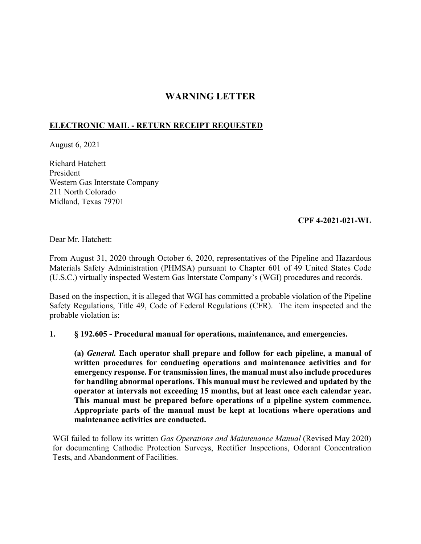## **WARNING LETTER**

## **ELECTRONIC MAIL - RETURN RECEIPT REQUESTED**

August 6, 2021

Richard Hatchett President Western Gas Interstate Company 211 North Colorado Midland, Texas 79701

## **CPF 4-2021-021-WL**

Dear Mr. Hatchett:

From August 31, 2020 through October 6, 2020, representatives of the Pipeline and Hazardous Materials Safety Administration (PHMSA) pursuant to Chapter 601 of 49 United States Code (U.S.C.) virtually inspected Western Gas Interstate Company's (WGI) procedures and records.

Based on the inspection, it is alleged that WGI has committed a probable violation of the Pipeline Safety Regulations, Title 49, Code of Federal Regulations (CFR). The item inspected and the probable violation is:

## **1. § 192.605 - Procedural manual for operations, maintenance, and emergencies.**

**(a)** *General.* **Each operator shall prepare and follow for each pipeline, a manual of written procedures for conducting operations and maintenance activities and for emergency response. For transmission lines, the manual must also include procedures for handling abnormal operations. This manual must be reviewed and updated by the operator at intervals not exceeding 15 months, but at least once each calendar year. This manual must be prepared before operations of a pipeline system commence. Appropriate parts of the manual must be kept at locations where operations and maintenance activities are conducted.** 

WGI failed to follow its written *Gas Operations and Maintenance Manual* (Revised May 2020) for documenting Cathodic Protection Surveys, Rectifier Inspections, Odorant Concentration Tests, and Abandonment of Facilities.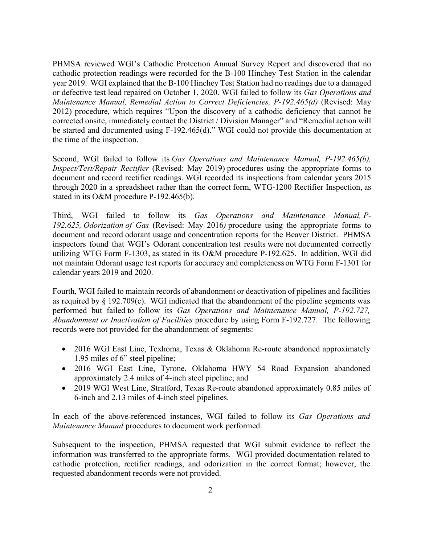PHMSA reviewed WGI's Cathodic Protection Annual Survey Report and discovered that no cathodic protection readings were recorded for the B-100 Hinchey Test Station in the calendar year 2019. WGI explained that the B-100 Hinchey Test Station had no readings due to a damaged or defective test lead repaired on October 1, 2020. WGI failed to follow its *Gas Operations and Maintenance Manual, Remedial Action to Correct Deficiencies, P-192.465(d)* (Revised: May 2012) procedure*,* which requires "Upon the discovery of a cathodic deficiency that cannot be corrected onsite, immediately contact the District / Division Manager" and "Remedial action will be started and documented using F-192.465(d)." WGI could not provide this documentation at the time of the inspection.

Second, WGI failed to follow its *Gas Operations and Maintenance Manual, P-192.465(b), Inspect/Test/Repair Rectifier* (Revised: May 2019) procedures using the appropriate forms to document and record rectifier readings. WGI recorded its inspections from calendar years 2015 through 2020 in a spreadsheet rather than the correct form, WTG-1200 Rectifier Inspection, as stated in its O&M procedure P-192.465(b).

 not maintain Odorant usage test reports for accuracy and completeness on WTG Form F-1301 for Third, WGI failed to follow its *Gas Operations and Maintenance Manual, P-192.625, Odorization of Gas* (Revised: May 2016*)* procedure using the appropriate forms to document and record odorant usage and concentration reports for the Beaver District. PHMSA inspectors found that WGI's Odorant concentration test results were not documented correctly utilizing WTG Form F-1303, as stated in its O&M procedure P-192.625. In addition, WGI did calendar years 2019 and 2020.

Fourth, WGI failed to maintain records of abandonment or deactivation of pipelines and facilities as required by § 192.709(c). WGI indicated that the abandonment of the pipeline segments was performed but failed to follow its *Gas Operations and Maintenance Manual, P-192.727, Abandonment or Inactivation of Facilities* procedure by using Form F-192.727. The following records were not provided for the abandonment of segments:

- 2016 WGI East Line, Texhoma, Texas & Oklahoma Re-route abandoned approximately 1.95 miles of 6" steel pipeline;
- 2016 WGI East Line, Tyrone, Oklahoma HWY 54 Road Expansion abandoned approximately 2.4 miles of 4-inch steel pipeline; and
- 2019 WGI West Line, Stratford, Texas Re-route abandoned approximately 0.85 miles of 6-inch and 2.13 miles of 4-inch steel pipelines.

In each of the above-referenced instances, WGI failed to follow its *Gas Operations and Maintenance Manual* procedures to document work performed.

Subsequent to the inspection, PHMSA requested that WGI submit evidence to reflect the information was transferred to the appropriate forms. WGI provided documentation related to cathodic protection, rectifier readings, and odorization in the correct format; however, the requested abandonment records were not provided.